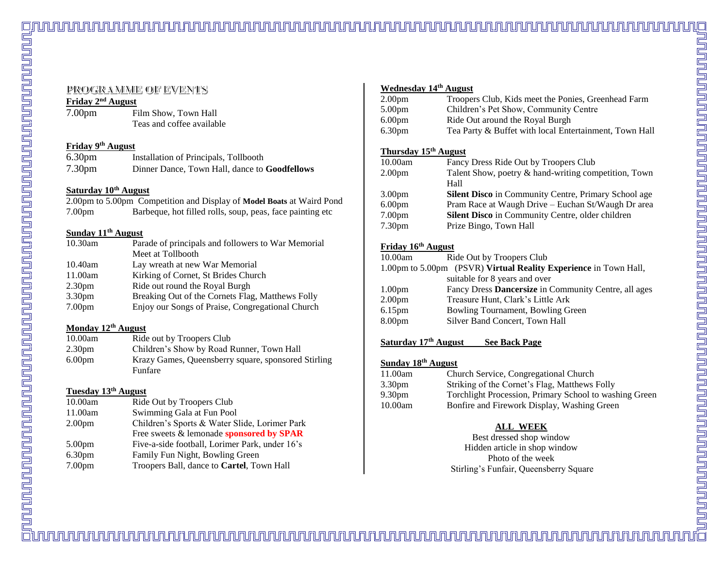7.00pm Film Show, Town Hall Teas and coffee available

#### **Friday 9 th August**

| 6.30 <sub>pm</sub> | Installation of Principals, Tollbooth                |
|--------------------|------------------------------------------------------|
| 7.30pm             | Dinner Dance, Town Hall, dance to <b>Goodfellows</b> |

#### **Saturday 10th August**

2.00pm to 5.00pm Competition and Display of **Model Boats** at Waird Pond 7.00pm Barbeque, hot filled rolls, soup, peas, face painting etc

#### **Sunday 11th August**

| 10.30am            | Parade of principals and followers to War Memorial |
|--------------------|----------------------------------------------------|
|                    | Meet at Tollbooth                                  |
| 10.40am            | Lay wreath at new War Memorial                     |
| 11.00am            | Kirking of Cornet, St Brides Church                |
| 2.30pm             | Ride out round the Royal Burgh                     |
| 3.30pm             | Breaking Out of the Cornets Flag, Matthews Folly   |
| 7.00 <sub>pm</sub> | Enjoy our Songs of Praise, Congregational Church   |
|                    |                                                    |

#### **Monday 12th August**

| 10.00am | Ride out by Troopers Club                                             |
|---------|-----------------------------------------------------------------------|
| 2.30pm  | Children's Show by Road Runner, Town Hall                             |
| 6.00pm  | Krazy Games, Queensberry square, sponsored Stirling<br><b>Funfare</b> |

#### **Tuesday 13th August**

| 10.00am            | Ride Out by Troopers Club                      |
|--------------------|------------------------------------------------|
| 11.00am            | Swimming Gala at Fun Pool                      |
| 2.00pm             | Children's Sports & Water Slide, Lorimer Park  |
|                    | Free sweets & lemonade sponsored by SPAR       |
| 5.00pm             | Five-a-side football, Lorimer Park, under 16's |
| 6.30 <sub>pm</sub> | Family Fun Night, Bowling Green                |
| 7.00pm             | Troopers Ball, dance to Cartel, Town Hall      |
|                    |                                                |

## **Wednesday 14th August**

| 2.00 <sub>pm</sub> | Troopers Club, Kids meet the Ponies, Greenhead Farm    |
|--------------------|--------------------------------------------------------|
| 5.00 <sub>pm</sub> | Children's Pet Show, Community Centre                  |
| 6.00 <sub>pm</sub> | Ride Out around the Royal Burgh                        |
| 6.30 <sub>pm</sub> | Tea Party & Buffet with local Entertainment, Town Hall |

#### **Thursday 15th August**

| Fancy Dress Ride Out by Troopers Club                       |
|-------------------------------------------------------------|
| Talent Show, poetry & hand-writing competition, Town        |
| Hall                                                        |
| <b>Silent Disco</b> in Community Centre, Primary School age |
| Pram Race at Waugh Drive - Euchan St/Waugh Dr area          |
| Silent Disco in Community Centre, older children            |
| Prize Bingo, Town Hall                                      |
|                                                             |

#### **Friday 16th August**

| 10.00am                       | Ride Out by Troopers Club                                        |
|-------------------------------|------------------------------------------------------------------|
|                               | 1.00pm to 5.00pm (PSVR) Virtual Reality Experience in Town Hall, |
| suitable for 8 years and over |                                                                  |
| 1.00 <sub>pm</sub>            | Fancy Dress Dancersize in Community Centre, all ages             |
| 2.00 <sub>pm</sub>            | Treasure Hunt, Clark's Little Ark                                |
| 6.15 <sub>pm</sub>            | Bowling Tournament, Bowling Green                                |
| 8.00 <sub>pm</sub>            | Silver Band Concert, Town Hall                                   |
|                               |                                                                  |

#### **Saturday 17th August See Back Page**

#### **Sunday 18th August**

| 11.00am | Church Service, Congregational Church                  |
|---------|--------------------------------------------------------|
| 3.30pm  | Striking of the Cornet's Flag, Matthews Folly          |
| 9.30pm  | Torchlight Procession, Primary School to washing Green |
| 10.00am | Bonfire and Firework Display, Washing Green            |
|         |                                                        |

## **ALL WEEK**

Best dressed shop window Hidden article in shop window Photo of the week Stirling's Funfair, Queensberry Square